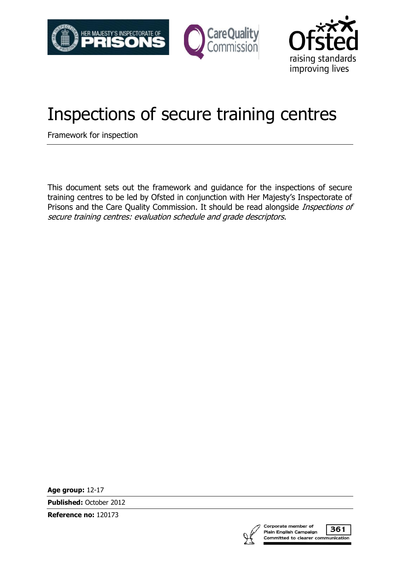



# Inspections of secure training centres

Framework for inspection

This document sets out the framework and guidance for the inspections of secure training centres to be led by Ofsted in conjunction with Her Majesty's Inspectorate of Prisons and the Care Quality Commission. It should be read alongside *Inspections of* secure training centres: evaluation schedule and grade descriptors.

**Age group:** 12-17

**Published:** October 2012

**Reference no:** 120173



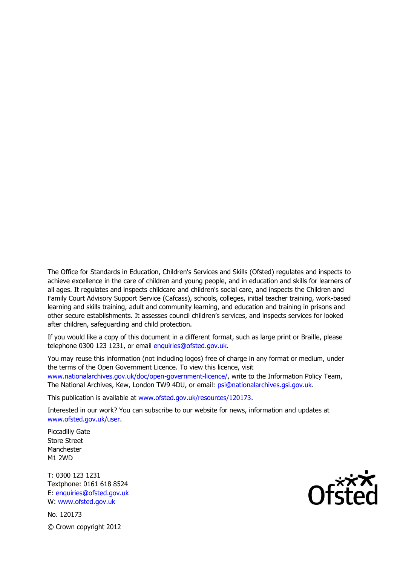The Office for Standards in Education, Children's Services and Skills (Ofsted) regulates and inspects to achieve excellence in the care of children and young people, and in education and skills for learners of all ages. It regulates and inspects childcare and children's social care, and inspects the Children and Family Court Advisory Support Service (Cafcass), schools, colleges, initial teacher training, work-based learning and skills training, adult and community learning, and education and training in prisons and other secure establishments. It assesses council children's services, and inspects services for looked after children, safeguarding and child protection.

If you would like a copy of this document in a different format, such as large print or Braille, please telephone 0300 123 1231, or email enquiries@ofsted.gov.uk.

You may reuse this information (not including logos) free of charge in any format or medium, under the terms of the Open Government Licence. To view this licence, visit www.nationalarchives.gov.uk/doc/open-government-licence/, write to the Information Policy Team, The National Archives, Kew, London TW9 4DU, or email: psi@nationalarchives.gsi.gov.uk.

This publication is available at www.ofsted.gov.uk/resources/120173.

Interested in our work? You can subscribe to our website for news, information and updates at www.ofsted.gov.uk/user.

Piccadilly Gate Store Street Manchester M1 2WD

T: 0300 123 1231 Textphone: 0161 618 8524 E: enquiries@ofsted.gov.uk W: www.ofsted.gov.uk

No. 120173

© Crown copyright 2012

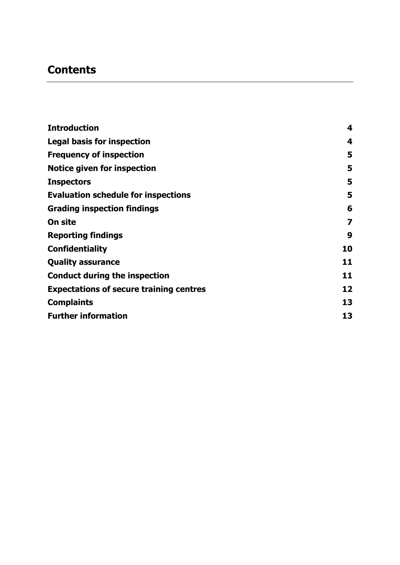### **Contents**

| <b>Introduction</b>                            | 4  |
|------------------------------------------------|----|
| <b>Legal basis for inspection</b>              | 4  |
| <b>Frequency of inspection</b>                 | 5  |
| Notice given for inspection                    | 5  |
| <b>Inspectors</b>                              | 5  |
| <b>Evaluation schedule for inspections</b>     | 5  |
| <b>Grading inspection findings</b>             | 6  |
| On site                                        | 7  |
| <b>Reporting findings</b>                      | 9  |
| <b>Confidentiality</b>                         | 10 |
| <b>Quality assurance</b>                       | 11 |
| <b>Conduct during the inspection</b>           | 11 |
| <b>Expectations of secure training centres</b> | 12 |
| <b>Complaints</b>                              | 13 |
| <b>Further information</b>                     | 13 |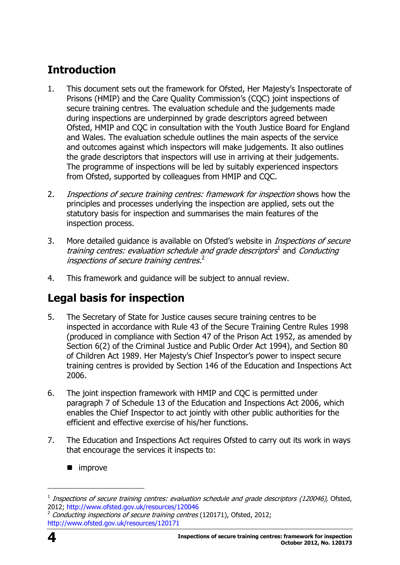# <span id="page-3-0"></span>**Introduction**

- 1. This document sets out the framework for Ofsted, Her Majesty's Inspectorate of Prisons (HMIP) and the Care Quality Commission's (CQC) joint inspections of secure training centres. The evaluation schedule and the judgements made during inspections are underpinned by grade descriptors agreed between Ofsted, HMIP and CQC in consultation with the Youth Justice Board for England and Wales. The evaluation schedule outlines the main aspects of the service and outcomes against which inspectors will make judgements. It also outlines the grade descriptors that inspectors will use in arriving at their judgements. The programme of inspections will be led by suitably experienced inspectors from Ofsted, supported by colleagues from HMIP and CQC.
- 2. Inspections of secure training centres: framework for inspection shows how the principles and processes underlying the inspection are applied, sets out the statutory basis for inspection and summarises the main features of the inspection process.
- 3. More detailed quidance is available on Ofsted's website in *Inspections of secure* training centres: evaluation schedule and grade descriptors<sup>1</sup> and Conducting inspections of secure training centres. 2
- 4. This framework and guidance will be subject to annual review.

# <span id="page-3-1"></span>**Legal basis for inspection**

- 5. The Secretary of State for Justice causes secure training centres to be inspected in accordance with Rule 43 of the Secure Training Centre Rules 1998 (produced in compliance with Section 47 of the Prison Act 1952, as amended by Section 6(2) of the Criminal Justice and Public Order Act 1994), and Section 80 of Children Act 1989. Her Majesty's Chief Inspector's power to inspect secure training centres is provided by Section 146 of the Education and Inspections Act 2006.
- 6. The joint inspection framework with HMIP and CQC is permitted under paragraph 7 of Schedule 13 of the Education and Inspections Act 2006, which enables the Chief Inspector to act jointly with other public authorities for the efficient and effective exercise of his/her functions.
- 7. The Education and Inspections Act requires Ofsted to carry out its work in ways that encourage the services it inspects to:
	- improve



 $\overline{a}$ 

 $1$  Inspections of secure training centres: evaluation schedule and grade descriptors (120046), Ofsted, 2012;<http://www.ofsted.gov.uk/resources/120046>

<sup>2</sup> Conducting inspections of secure training centres (120171), Ofsted, 2012; <http://www.ofsted.gov.uk/resources/120171>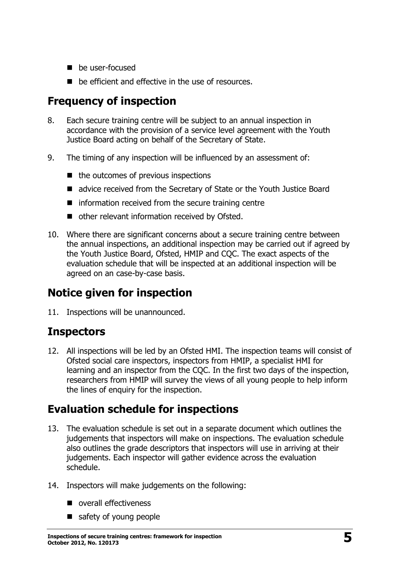- **be user-focused**
- be efficient and effective in the use of resources.

## <span id="page-4-0"></span>**Frequency of inspection**

- 8. Each secure training centre will be subject to an annual inspection in accordance with the provision of a service level agreement with the Youth Justice Board acting on behalf of the Secretary of State.
- 9. The timing of any inspection will be influenced by an assessment of:
	- $\blacksquare$  the outcomes of previous inspections
	- advice received from the Secretary of State or the Youth Justice Board
	- $\blacksquare$  information received from the secure training centre
	- other relevant information received by Ofsted.
- 10. Where there are significant concerns about a secure training centre between the annual inspections, an additional inspection may be carried out if agreed by the Youth Justice Board, Ofsted, HMIP and CQC. The exact aspects of the evaluation schedule that will be inspected at an additional inspection will be agreed on an case-by-case basis.

### <span id="page-4-1"></span>**Notice given for inspection**

11. Inspections will be unannounced.

### <span id="page-4-2"></span>**Inspectors**

12. All inspections will be led by an Ofsted HMI. The inspection teams will consist of Ofsted social care inspectors, inspectors from HMIP, a specialist HMI for learning and an inspector from the CQC. In the first two days of the inspection, researchers from HMIP will survey the views of all young people to help inform the lines of enquiry for the inspection.

### <span id="page-4-3"></span>**Evaluation schedule for inspections**

- 13. The evaluation schedule is set out in a separate document which outlines the judgements that inspectors will make on inspections. The evaluation schedule also outlines the grade descriptors that inspectors will use in arriving at their judgements. Each inspector will gather evidence across the evaluation schedule.
- 14. Inspectors will make judgements on the following:
	- overall effectiveness
	- safety of young people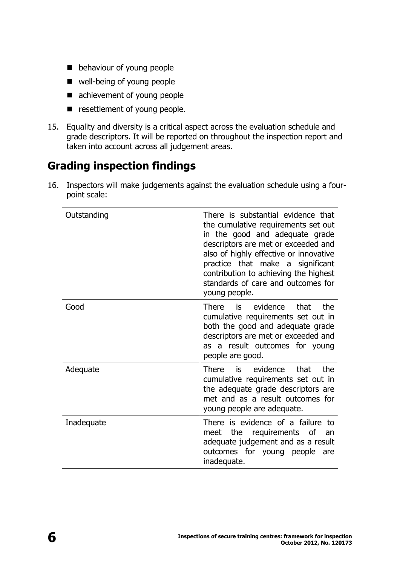- **behaviour of young people**
- well-being of young people
- achievement of young people
- **E** resettlement of young people.
- 15. Equality and diversity is a critical aspect across the evaluation schedule and grade descriptors. It will be reported on throughout the inspection report and taken into account across all judgement areas.

### <span id="page-5-0"></span>**Grading inspection findings**

16. Inspectors will make judgements against the evaluation schedule using a fourpoint scale:

| Outstanding | There is substantial evidence that<br>the cumulative requirements set out<br>in the good and adequate grade<br>descriptors are met or exceeded and<br>also of highly effective or innovative<br>practice that make a significant<br>contribution to achieving the highest<br>standards of care and outcomes for<br>young people. |
|-------------|----------------------------------------------------------------------------------------------------------------------------------------------------------------------------------------------------------------------------------------------------------------------------------------------------------------------------------|
| Good        | There is evidence that<br>the<br>cumulative requirements set out in<br>both the good and adequate grade<br>descriptors are met or exceeded and<br>as a result outcomes for young<br>people are good.                                                                                                                             |
| Adequate    | that<br>the<br>There is evidence<br>cumulative requirements set out in<br>the adequate grade descriptors are<br>met and as a result outcomes for<br>young people are adequate.                                                                                                                                                   |
| Inadequate  | There is evidence of a failure to<br>requirements of<br>the<br>meet<br>an<br>adequate judgement and as a result<br>outcomes for young people<br>are<br>inadequate.                                                                                                                                                               |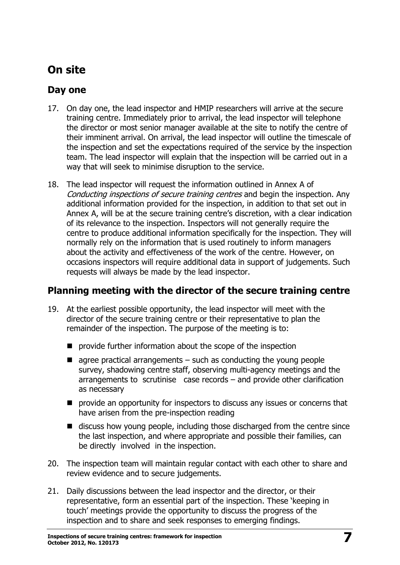# <span id="page-6-0"></span>**On site**

#### **Day one**

- 17. On day one, the lead inspector and HMIP researchers will arrive at the secure training centre. Immediately prior to arrival, the lead inspector will telephone the director or most senior manager available at the site to notify the centre of their imminent arrival. On arrival, the lead inspector will outline the timescale of the inspection and set the expectations required of the service by the inspection team. The lead inspector will explain that the inspection will be carried out in a way that will seek to minimise disruption to the service.
- 18. The lead inspector will request the information outlined in Annex A of Conducting inspections of secure training centres and begin the inspection. Any additional information provided for the inspection, in addition to that set out in Annex A, will be at the secure training centre's discretion, with a clear indication of its relevance to the inspection. Inspectors will not generally require the centre to produce additional information specifically for the inspection. They will normally rely on the information that is used routinely to inform managers about the activity and effectiveness of the work of the centre. However, on occasions inspectors will require additional data in support of judgements. Such requests will always be made by the lead inspector.

#### **Planning meeting with the director of the secure training centre**

- 19. At the earliest possible opportunity, the lead inspector will meet with the director of the secure training centre or their representative to plan the remainder of the inspection. The purpose of the meeting is to:
	- **P** provide further information about the scope of the inspection
	- $\blacksquare$  agree practical arrangements such as conducting the young people survey, shadowing centre staff, observing multi-agency meetings and the arrangements to scrutinise case records – and provide other clarification as necessary
	- **P** provide an opportunity for inspectors to discuss any issues or concerns that have arisen from the pre-inspection reading
	- discuss how young people, including those discharged from the centre since the last inspection, and where appropriate and possible their families, can be directly involved in the inspection.
- 20. The inspection team will maintain regular contact with each other to share and review evidence and to secure judgements.
- 21. Daily discussions between the lead inspector and the director, or their representative, form an essential part of the inspection. These 'keeping in touch' meetings provide the opportunity to discuss the progress of the inspection and to share and seek responses to emerging findings.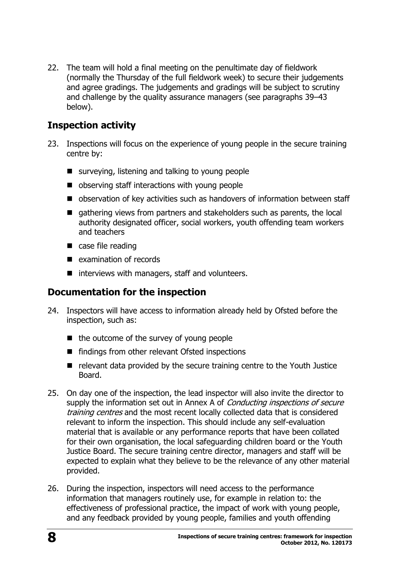22. The team will hold a final meeting on the penultimate day of fieldwork (normally the Thursday of the full fieldwork week) to secure their judgements and agree gradings. The judgements and gradings will be subject to scrutiny and challenge by the quality assurance managers (see paragraphs 39–43 below).

#### **Inspection activity**

- 23. Inspections will focus on the experience of young people in the secure training centre by:
	- surveying, listening and talking to young people
	- observing staff interactions with young people
	- observation of key activities such as handovers of information between staff
	- $\blacksquare$  gathering views from partners and stakeholders such as parents, the local authority designated officer, social workers, youth offending team workers and teachers
	- case file reading
	- **E** examination of records
	- $\blacksquare$  interviews with managers, staff and volunteers.

#### **Documentation for the inspection**

- 24. Inspectors will have access to information already held by Ofsted before the inspection, such as:
	- $\blacksquare$  the outcome of the survey of young people
	- findings from other relevant Ofsted inspections
	- relevant data provided by the secure training centre to the Youth Justice Board.
- 25. On day one of the inspection, the lead inspector will also invite the director to supply the information set out in Annex A of Conducting inspections of secure training centres and the most recent locally collected data that is considered relevant to inform the inspection. This should include any self-evaluation material that is available or any performance reports that have been collated for their own organisation, the local safeguarding children board or the Youth Justice Board. The secure training centre director, managers and staff will be expected to explain what they believe to be the relevance of any other material provided.
- 26. During the inspection, inspectors will need access to the performance information that managers routinely use, for example in relation to: the effectiveness of professional practice, the impact of work with young people, and any feedback provided by young people, families and youth offending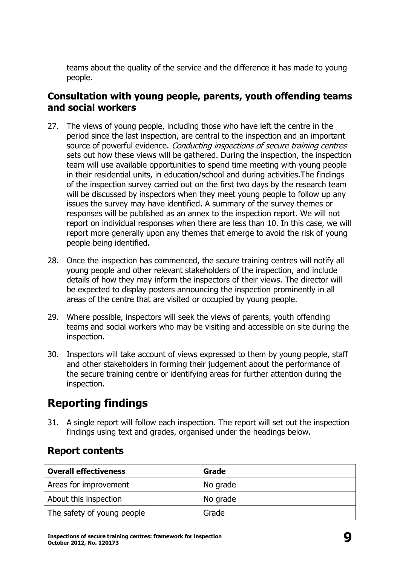teams about the quality of the service and the difference it has made to young people.

#### **Consultation with young people, parents, youth offending teams and social workers**

- 27. The views of young people, including those who have left the centre in the period since the last inspection, are central to the inspection and an important source of powerful evidence. Conducting inspections of secure training centres sets out how these views will be gathered. During the inspection, the inspection team will use available opportunities to spend time meeting with young people in their residential units, in education/school and during activities.The findings of the inspection survey carried out on the first two days by the research team will be discussed by inspectors when they meet young people to follow up any issues the survey may have identified. A summary of the survey themes or responses will be published as an annex to the inspection report. We will not report on individual responses when there are less than 10. In this case, we will report more generally upon any themes that emerge to avoid the risk of young people being identified.
- 28. Once the inspection has commenced, the secure training centres will notify all young people and other relevant stakeholders of the inspection, and include details of how they may inform the inspectors of their views. The director will be expected to display posters announcing the inspection prominently in all areas of the centre that are visited or occupied by young people.
- 29. Where possible, inspectors will seek the views of parents, youth offending teams and social workers who may be visiting and accessible on site during the inspection.
- 30. Inspectors will take account of views expressed to them by young people, staff and other stakeholders in forming their judgement about the performance of the secure training centre or identifying areas for further attention during the inspection.

### <span id="page-8-0"></span>**Reporting findings**

31. A single report will follow each inspection. The report will set out the inspection findings using text and grades, organised under the headings below.

#### **Report contents**

| <b>Overall effectiveness</b> | Grade    |
|------------------------------|----------|
| Areas for improvement        | No grade |
| About this inspection        | No grade |
| The safety of young people   | Grade    |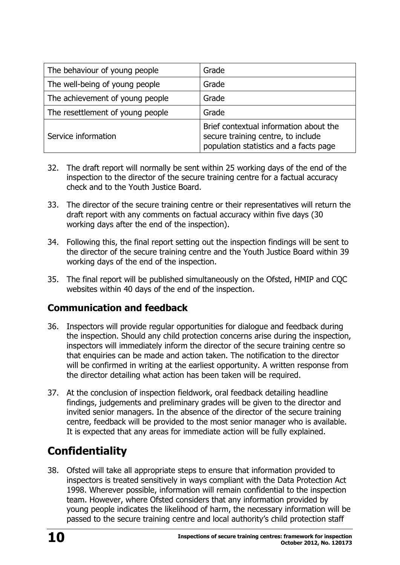| The behaviour of young people    | Grade                                                                                                                  |
|----------------------------------|------------------------------------------------------------------------------------------------------------------------|
| The well-being of young people   | Grade                                                                                                                  |
| The achievement of young people  | Grade                                                                                                                  |
| The resettlement of young people | Grade                                                                                                                  |
| Service information              | Brief contextual information about the<br>secure training centre, to include<br>population statistics and a facts page |

- 32. The draft report will normally be sent within 25 working days of the end of the inspection to the director of the secure training centre for a factual accuracy check and to the Youth Justice Board.
- 33. The director of the secure training centre or their representatives will return the draft report with any comments on factual accuracy within five days (30 working days after the end of the inspection).
- 34. Following this, the final report setting out the inspection findings will be sent to the director of the secure training centre and the Youth Justice Board within 39 working days of the end of the inspection.
- 35. The final report will be published simultaneously on the Ofsted, HMIP and CQC websites within 40 days of the end of the inspection.

#### **Communication and feedback**

- 36. Inspectors will provide regular opportunities for dialogue and feedback during the inspection. Should any child protection concerns arise during the inspection, inspectors will immediately inform the director of the secure training centre so that enquiries can be made and action taken. The notification to the director will be confirmed in writing at the earliest opportunity. A written response from the director detailing what action has been taken will be required.
- 37. At the conclusion of inspection fieldwork, oral feedback detailing headline findings, judgements and preliminary grades will be given to the director and invited senior managers. In the absence of the director of the secure training centre, feedback will be provided to the most senior manager who is available. It is expected that any areas for immediate action will be fully explained.

# <span id="page-9-0"></span>**Confidentiality**

38. Ofsted will take all appropriate steps to ensure that information provided to inspectors is treated sensitively in ways compliant with the Data Protection Act 1998. Wherever possible, information will remain confidential to the inspection team. However, where Ofsted considers that any information provided by young people indicates the likelihood of harm, the necessary information will be passed to the secure training centre and local authority's child protection staff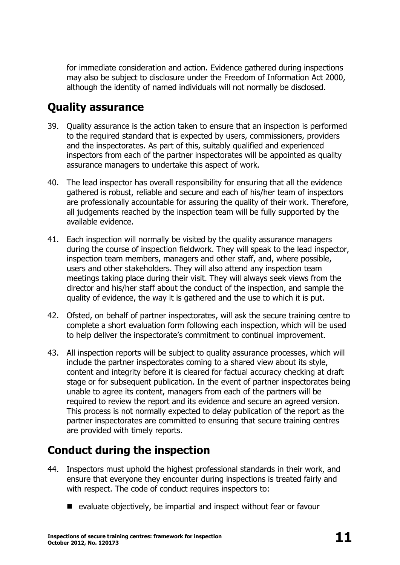for immediate consideration and action. Evidence gathered during inspections may also be subject to disclosure under the Freedom of Information Act 2000, although the identity of named individuals will not normally be disclosed.

### <span id="page-10-0"></span>**Quality assurance**

- 39. Quality assurance is the action taken to ensure that an inspection is performed to the required standard that is expected by users, commissioners, providers and the inspectorates. As part of this, suitably qualified and experienced inspectors from each of the partner inspectorates will be appointed as quality assurance managers to undertake this aspect of work.
- 40. The lead inspector has overall responsibility for ensuring that all the evidence gathered is robust, reliable and secure and each of his/her team of inspectors are professionally accountable for assuring the quality of their work. Therefore, all judgements reached by the inspection team will be fully supported by the available evidence.
- 41. Each inspection will normally be visited by the quality assurance managers during the course of inspection fieldwork. They will speak to the lead inspector, inspection team members, managers and other staff, and, where possible, users and other stakeholders. They will also attend any inspection team meetings taking place during their visit. They will always seek views from the director and his/her staff about the conduct of the inspection, and sample the quality of evidence, the way it is gathered and the use to which it is put.
- 42. Ofsted, on behalf of partner inspectorates, will ask the secure training centre to complete a short evaluation form following each inspection, which will be used to help deliver the inspectorate's commitment to continual improvement.
- 43. All inspection reports will be subject to quality assurance processes, which will include the partner inspectorates coming to a shared view about its style, content and integrity before it is cleared for factual accuracy checking at draft stage or for subsequent publication. In the event of partner inspectorates being unable to agree its content, managers from each of the partners will be required to review the report and its evidence and secure an agreed version. This process is not normally expected to delay publication of the report as the partner inspectorates are committed to ensuring that secure training centres are provided with timely reports.

# <span id="page-10-1"></span>**Conduct during the inspection**

- 44. Inspectors must uphold the highest professional standards in their work, and ensure that everyone they encounter during inspections is treated fairly and with respect. The code of conduct requires inspectors to:
	- evaluate objectively, be impartial and inspect without fear or favour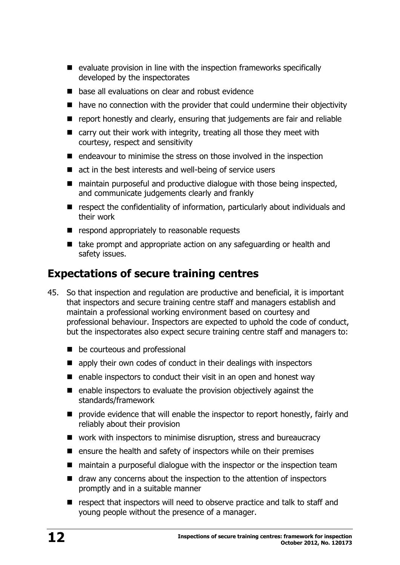- **E** evaluate provision in line with the inspection frameworks specifically developed by the inspectorates
- **E** base all evaluations on clear and robust evidence
- have no connection with the provider that could undermine their objectivity
- **P** report honestly and clearly, ensuring that judgements are fair and reliable
- $\blacksquare$  carry out their work with integrity, treating all those they meet with courtesy, respect and sensitivity
- $\blacksquare$  endeavour to minimise the stress on those involved in the inspection
- act in the best interests and well-being of service users
- $\blacksquare$  maintain purposeful and productive dialogue with those being inspected, and communicate judgements clearly and frankly
- **E** respect the confidentiality of information, particularly about individuals and their work
- $\blacksquare$  respond appropriately to reasonable requests
- take prompt and appropriate action on any safeguarding or health and safety issues.

### <span id="page-11-0"></span>**Expectations of secure training centres**

- 45. So that inspection and regulation are productive and beneficial, it is important that inspectors and secure training centre staff and managers establish and maintain a professional working environment based on courtesy and professional behaviour. Inspectors are expected to uphold the code of conduct, but the inspectorates also expect secure training centre staff and managers to:
	- be courteous and professional
	- **E** apply their own codes of conduct in their dealings with inspectors
	- $\blacksquare$  enable inspectors to conduct their visit in an open and honest way
	- $\blacksquare$  enable inspectors to evaluate the provision objectively against the standards/framework
	- **P** provide evidence that will enable the inspector to report honestly, fairly and reliably about their provision
	- work with inspectors to minimise disruption, stress and bureaucracy
	- $\blacksquare$  ensure the health and safety of inspectors while on their premises
	- maintain a purposeful dialogue with the inspector or the inspection team
	- draw any concerns about the inspection to the attention of inspectors promptly and in a suitable manner
	- **E** respect that inspectors will need to observe practice and talk to staff and young people without the presence of a manager.